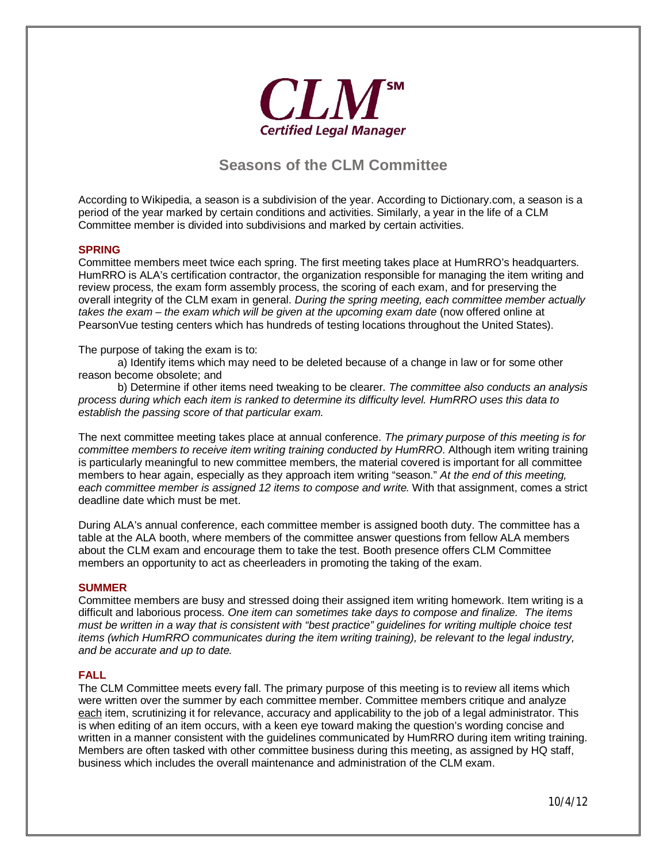

# **Seasons of the CLM Committee**

According to Wikipedia, a season is a subdivision of the year. According to Dictionary.com, a season is a period of the year marked by certain conditions and activities. Similarly, a year in the life of a CLM Committee member is divided into subdivisions and marked by certain activities.

### **SPRING**

Committee members meet twice each spring. The first meeting takes place at HumRRO's headquarters. HumRRO is ALA's certification contractor, the organization responsible for managing the item writing and review process, the exam form assembly process, the scoring of each exam, and for preserving the overall integrity of the CLM exam in general. *During the spring meeting, each committee member actually takes the exam – the exam which will be given at the upcoming exam date (now offered online at* PearsonVue testing centers which has hundreds of testing locations throughout the United States).

The purpose of taking the exam is to:

a) Identify items which may need to be deleted because of a change in law or for some other reason become obsolete; and

b) Determine if other items need tweaking to be clearer. *The committee also conducts an analysis process during which each item is ranked to determine its difficulty level. HumRRO uses this data to establish the passing score of that particular exam.* 

The next committee meeting takes place at annual conference. *The primary purpose of this meeting is for committee members to receive item writing training conducted by HumRRO*. Although item writing training is particularly meaningful to new committee members, the material covered is important for all committee members to hear again, especially as they approach item writing "season." *At the end of this meeting, each committee member is assigned 12 items to compose and write.* With that assignment, comes a strict deadline date which must be met.

During ALA's annual conference, each committee member is assigned booth duty. The committee has a table at the ALA booth, where members of the committee answer questions from fellow ALA members about the CLM exam and encourage them to take the test. Booth presence offers CLM Committee members an opportunity to act as cheerleaders in promoting the taking of the exam.

#### **SUMMER**

Committee members are busy and stressed doing their assigned item writing homework. Item writing is a difficult and laborious process. *One item can sometimes take days to compose and finalize. The items must be written in a way that is consistent with "best practice" guidelines for writing multiple choice test items (which HumRRO communicates during the item writing training), be relevant to the legal industry, and be accurate and up to date.*

#### **FALL**

The CLM Committee meets every fall. The primary purpose of this meeting is to review all items which were written over the summer by each committee member. Committee members critique and analyze each item, scrutinizing it for relevance, accuracy and applicability to the job of a legal administrator. This is when editing of an item occurs, with a keen eye toward making the question's wording concise and written in a manner consistent with the guidelines communicated by HumRRO during item writing training. Members are often tasked with other committee business during this meeting, as assigned by HQ staff, business which includes the overall maintenance and administration of the CLM exam.